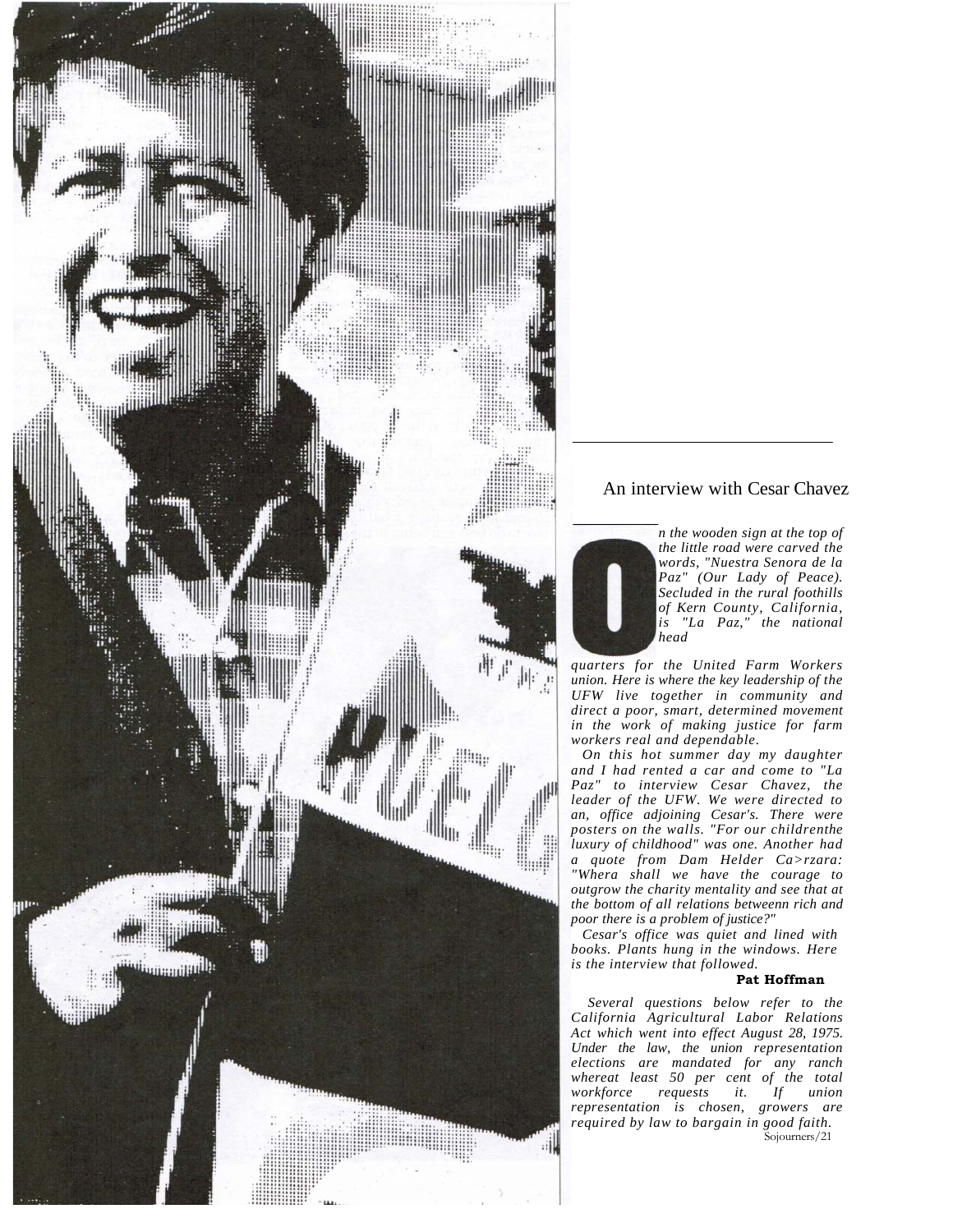

### An interview with Cesar Chavez



*quarters for the United Farm Workers union. Here is where the key leadership of the UFW live together in community and direct a poor, smart, determined movement in the work of making justice for farm workers real and dependable.* 

*On this hot summer day my daughter and I had rented a car and come to "La Paz" to interview Cesar Chavez, the leader of the UFW. We were directed to an, office adjoining Cesar's. There were posters on the walls. "For our childrenthe luxury of childhood" was one. Another had a quote from Dam Helder Ca>rzara: "Whera shall we have the courage to outgrow the charity mentality and see that at the bottom of all relations betweenn rich and poor there is a problem of justice?"* 

*Cesar's office was quiet and lined with books. Plants hung in the windows. Here is the interview that followed.* 

#### **Pat Hoffman**

*Several questions below refer to the California Agricultural Labor Relations Act which went into effect August 28, 1975. Under the law, the union representation elections are mandated for any ranch whereat least 50 per cent of the total workforce requests it. If union representation is chosen, growers are required by law to bargain in good faith.*  Sojourners/21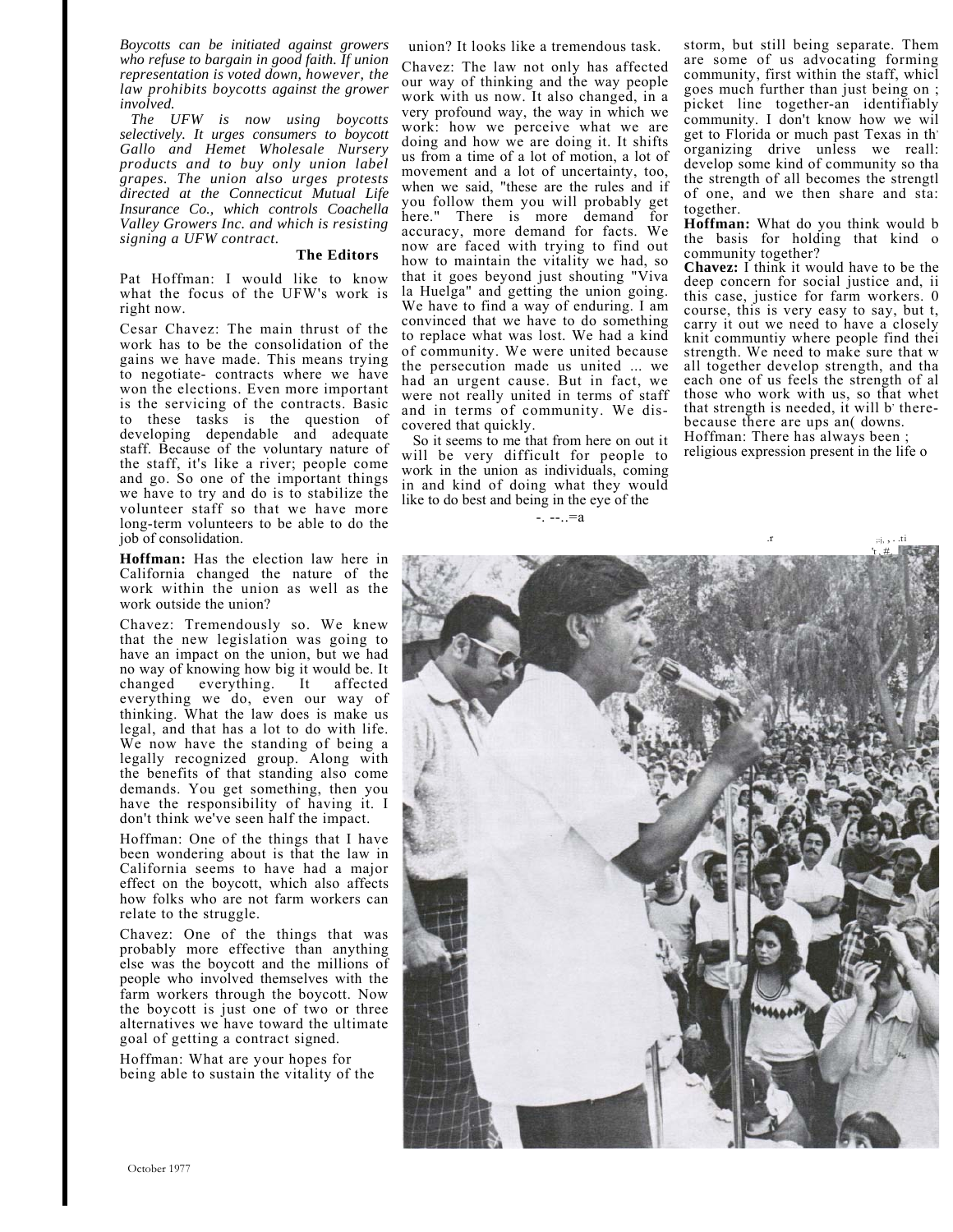*Boycotts can be initiated against growers who refuse to bargain in good faith. If union representation is voted down, however, the law prohibits boycotts against the grower involved.* 

*The UFW is now using boycotts selectively. It urges consumers to boycott Gallo and Hemet Wholesale Nursery products and to buy only union label grapes. The union also urges protests directed at the Connecticut Mutual Life Insurance Co., which controls Coachella Valley Growers Inc. and which is resisting signing a UFW contract.* 

#### **The Editors**

Pat Hoffman: I would like to know what the focus of the UFW's work is right now.

Cesar Chavez: The main thrust of the work has to be the consolidation of the gains we have made. This means trying to negotiate- contracts where we have won the elections. Even more important is the servicing of the contracts. Basic to these tasks is the question of developing dependable and adequate staff. Because of the voluntary nature of the staff, it's like a river; people come and go. So one of the important things we have to try and do is to stabilize the volunteer staff so that we have more long-term volunteers to be able to do the job of consolidation.

**Hoffman:** Has the election law here in California changed the nature of the work within the union as well as the work outside the union?

Chavez: Tremendously so. We knew that the new legislation was going to have an impact on the union, but we had no way of knowing how big it would be. It changed everything. It affected everything we do, even our way of thinking. What the law does is make us legal, and that has a lot to do with life. We now have the standing of being a legally recognized group. Along with the benefits of that standing also come demands. You get something, then you have the responsibility of having it. I don't think we've seen half the impact.

Hoffman: One of the things that I have been wondering about is that the law in California seems to have had a major effect on the boycott, which also affects how folks who are not farm workers can relate to the struggle.

Chavez: One of the things that was probably more effective than anything else was the boycott and the millions of people who involved themselves with the farm workers through the boycott. Now the boycott is just one of two or three alternatives we have toward the ultimate goal of getting a contract signed.

Hoffman: What are your hopes for being able to sustain the vitality of the union? It looks like a tremendous task.

Chavez: The law not only has affected our way of thinking and the way people work with us now. It also changed, in a very profound way, the way in which we work: how we perceive what we are doing and how we are doing it. It shifts us from a time of a lot of motion, a lot of movement and a lot of uncertainty, too, when we said, "these are the rules and if you follow them you will probably get here." There is more demand for accuracy, more demand for facts. We now are faced with trying to find out how to maintain the vitality we had, so that it goes beyond just shouting "Viva la Huelga" and getting the union going. We have to find a way of enduring. I am convinced that we have to do something to replace what was lost. We had a kind of community. We were united because the persecution made us united ... we had an urgent cause. But in fact, we were not really united in terms of staff and in terms of community. We discovered that quickly.

So it seems to me that from here on out it will be very difficult for people to work in the union as individuals, coming in and kind of doing what they would like to do best and being in the eye of the

 $-$ .  $-$ .  $-a$ 

storm, but still being separate. Them are some of us advocating forming community, first within the staff, whicl goes much further than just being on ; picket line together-an identifiably community. I don't know how we wil get to Florida or much past Texas in th organizing drive unless we reall: develop some kind of community so tha the strength of all becomes the strengtl of one, and we then share and sta: together.

**Hoffman:** What do you think would b the basis for holding that kind o community together?

**Chavez:** I think it would have to be the deep concern for social justice and, ii this case, justice for farm workers. 0 course, this is very easy to say, but t, carry it out we need to have a closely knit communtiy where people find thei strength. We need to make sure that w all together develop strength, and tha each one of us feels the strength of al those who work with us, so that whet that strength is needed, it will b' therebecause there are ups an( downs. Hoffman: There has always been ; religious expression present in the life o

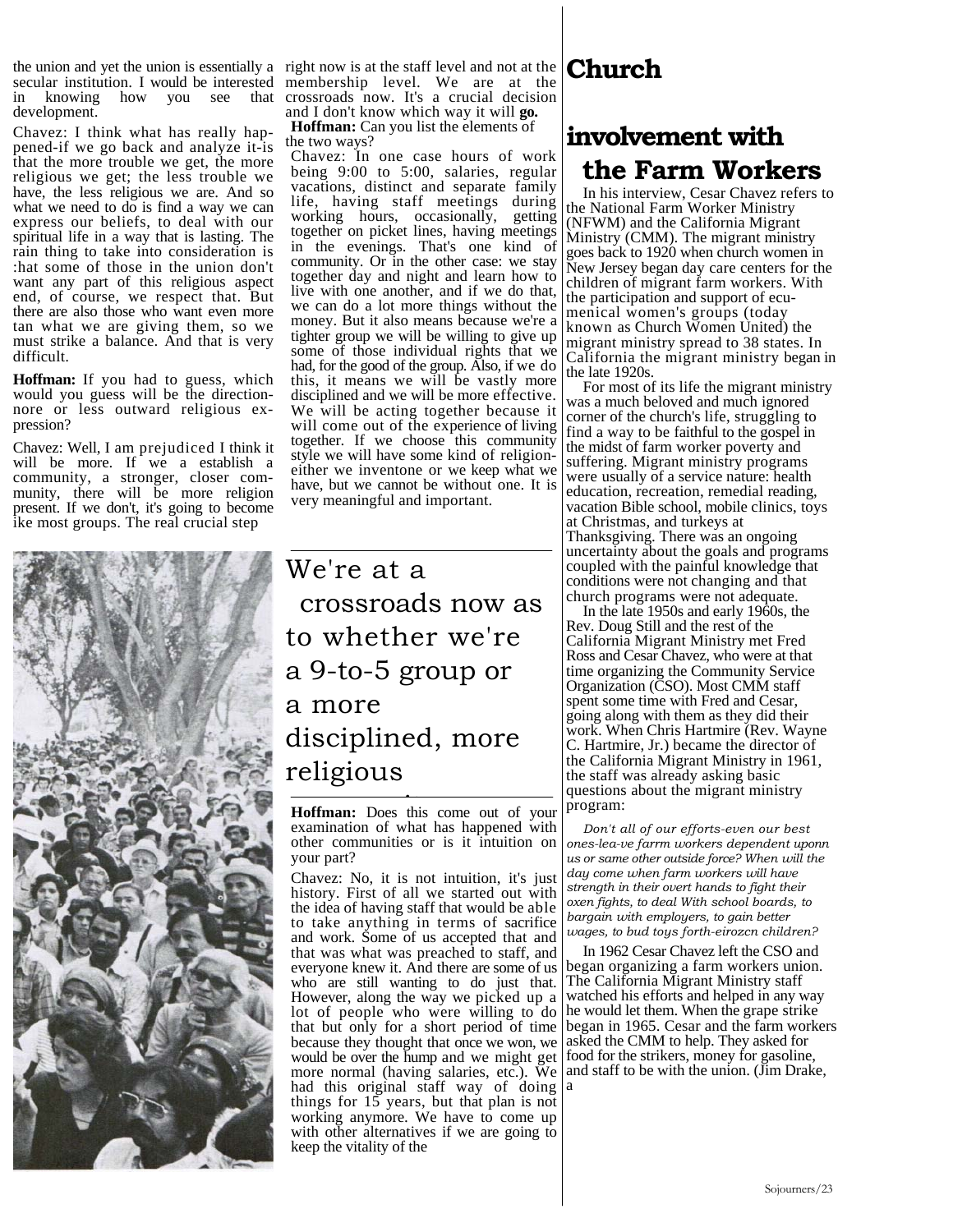secular institution. I would be interested in knowing how you see that development.

Chavez: I think what has really happened-if we go back and analyze it-is that the more trouble we get, the more religious we get; the less trouble we have, the less religious we are. And so what we need to do is find a way we can express our beliefs, to deal with our spiritual life in a way that is lasting. The rain thing to take into consideration is :hat some of those in the union don't want any part of this religious aspect end, of course, we respect that. But there are also those who want even more tan what we are giving them, so we must strike a balance. And that is very difficult.

**Hoffman:** If you had to guess, which would you guess will be the directionnore or less outward religious expression?

Chavez: Well, I am prejudiced I think it will be more. If we a establish a community, a stronger, closer community, there will be more religion present. If we don't, it's going to become ike most groups. The real crucial step



the union and yet the union is essentially a right now is at the staff level and not at the membership level. We are at the crossroads now. It's a crucial decision and I don't know which way it will **go.** 

**Hoffman:** Can you list the elements of the two ways?

Chavez: In one case hours of work being 9:00 to 5:00, salaries, regular vacations, distinct and separate family life, having staff meetings during working hours, occasionally, getting together on picket lines, having meetings in the evenings. That's one kind of community. Or in the other case: we stay together day and night and learn how to live with one another, and if we do that, we can do a lot more things without the money. But it also means because we're a tighter group we will be willing to give up some of those individual rights that we had, for the good of the group. Also, if we do this, it means we will be vastly more disciplined and we will be more effective. We will be acting together because it will come out of the experience of living together. If we choose this community style we will have some kind of religioneither we inventone or we keep what we have, but we cannot be without one. It is very meaningful and important.

We're at a crossroads now as to whether we're a 9-to-5 group or a more disciplined, more religious

**Hoffman:** Does this come out of your examination of what has happened with other communities or is it intuition on your part?

Chavez: No, it is not intuition, it's just history. First of all we started out with the idea of having staff that would be able to take anything in terms of sacrifice and work. Some of us accepted that and that was what was preached to staff, and everyone knew it. And there are some of us who are still wanting to do just that. However, along the way we picked up a lot of people who were willing to do that but only for a short period of time because they thought that once we won, we would be over the hump and we might get more normal (having salaries, etc.). We and staff to be with the union. (Jim Drake, had this original staff way of doing a things for  $15$  years, but that plan is not working anymore. We have to come up with other alternatives if we are going to keep the vitality of the

## **Church**

# **involvement with the Farm Workers**

In his interview, Cesar Chavez refers to the National Farm Worker Ministry (NFWM) and the California Migrant Ministry (CMM). The migrant ministry goes back to 1920 when church women in New Jersey began day care centers for the children of migrant farm workers. With the participation and support of ecumenical women's groups (today known as Church Women United) the migrant ministry spread to 38 states. In California the migrant ministry began in the late 1920s.

For most of its life the migrant ministry was a much beloved and much ignored corner of the church's life, struggling to find a way to be faithful to the gospel in the midst of farm worker poverty and suffering. Migrant ministry programs were usually of a service nature: health education, recreation, remedial reading, vacation Bible school, mobile clinics, toys at Christmas, and turkeys at Thanksgiving. There was an ongoing uncertainty about the goals and programs coupled with the painful knowledge that conditions were not changing and that church programs were not adequate.

In the late 1950s and early 1960s, the Rev. Doug Still and the rest of the California Migrant Ministry met Fred Ross and Cesar Chavez, who were at that time organizing the Community Service Organization (CSO). Most CMM staff spent some time with Fred and Cesar, going along with them as they did their work. When Chris Hartmire (Rev. Wayne C. Hartmire, Jr.) became the director of the California Migrant Ministry in 1961, the staff was already asking basic questions about the migrant ministry program:

*Don't all of our efforts-even our best ones-lea-ve farrm workers dependent uponn us or same other outside force? When will the day come when farm workers will have strength in their overt hands to fight their oxen fights, to deal With school boards, to bargain with employers, to gain better wages, to bud toys forth-eirozcn children?* 

In 1962 Cesar Chavez left the CSO and began organizing a farm workers union. The California Migrant Ministry staff watched his efforts and helped in any way he would let them. When the grape strike began in 1965. Cesar and the farm workers asked the CMM to help. They asked for food for the strikers, money for gasoline,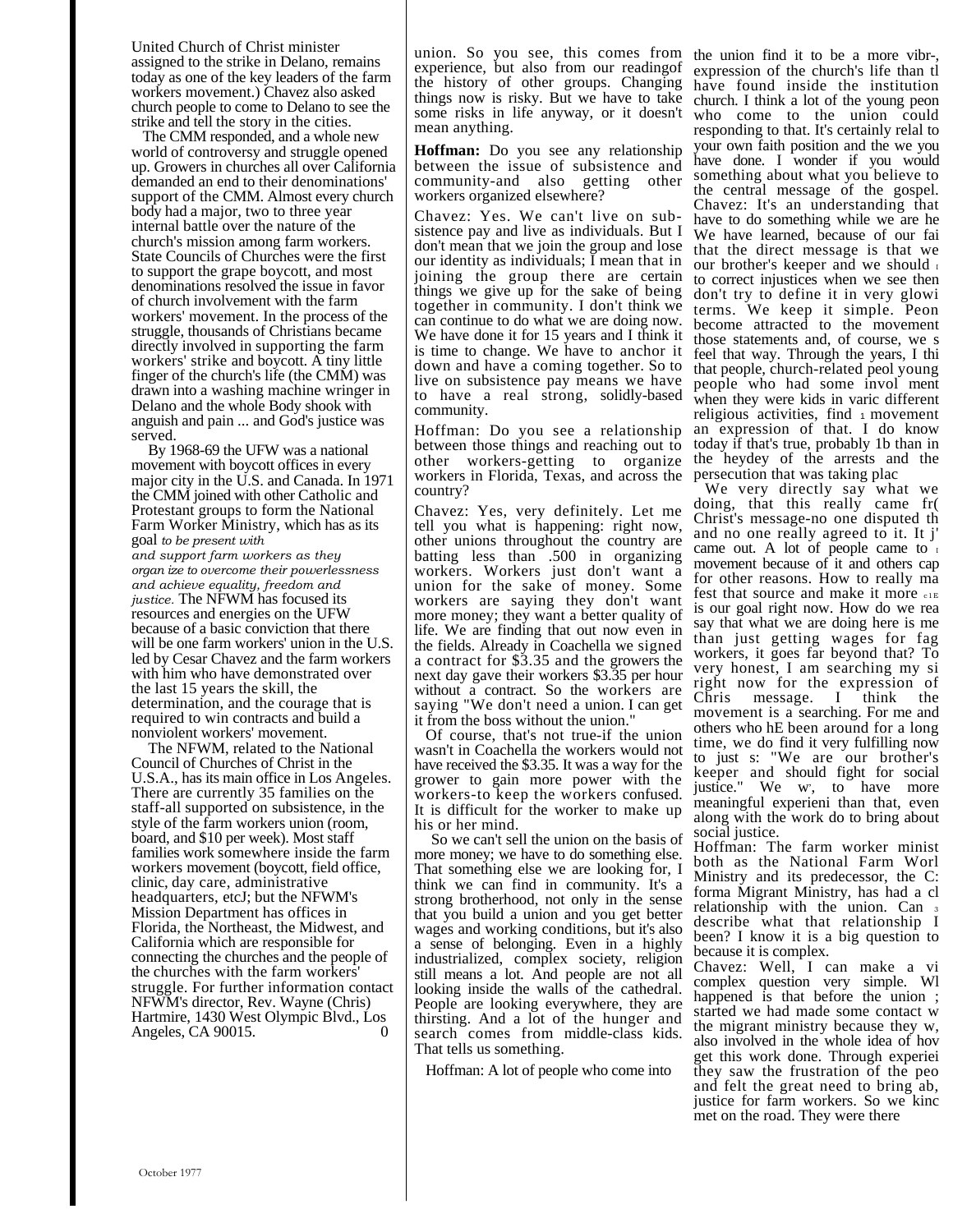United Church of Christ minister assigned to the strike in Delano, remains today as one of the key leaders of the farm workers movement.) Chavez also asked church people to come to Delano to see the strike and tell the story in the cities.

The CMM responded, and a whole new world of controversy and struggle opened up. Growers in churches all over California demanded an end to their denominations' support of the CMM. Almost every church body had a major, two to three year internal battle over the nature of the church's mission among farm workers. State Councils of Churches were the first to support the grape boycott, and most denominations resolved the issue in favor of church involvement with the farm workers' movement. In the process of the struggle, thousands of Christians became directly involved in supporting the farm workers' strike and boycott. A tiny little finger of the church's life (the CMM) was drawn into a washing machine wringer in Delano and the whole Body shook with anguish and pain ... and God's justice was served.

By 1968-69 the UFW was a national movement with boycott offices in every major city in the U.S. and Canada. In 1971 the CMM joined with other Catholic and Protestant groups to form the National Farm Worker Ministry, which has as its goal *to be present with and support farm workers as they organ ize to overcome their powerlessness and achieve equality, freedom and justice.* The NFWM has focused its resources and energies on the UFW because of a basic conviction that there will be one farm workers' union in the U.S. led by Cesar Chavez and the farm workers with him who have demonstrated over the last 15 years the skill, the determination, and the courage that is required to win contracts and build a nonviolent workers' movement.

The NFWM, related to the National Council of Churches of Christ in the U.S.A., has its main office in Los Angeles. There are currently 35 families on the staff-all supported on subsistence, in the style of the farm workers union (room, board, and \$10 per week). Most staff families work somewhere inside the farm workers movement (boycott, field office, clinic, day care, administrative headquarters, etcJ; but the NFWM's Mission Department has offices in Florida, the Northeast, the Midwest, and California which are responsible for connecting the churches and the people of the churches with the farm workers' struggle. For further information contact NFWM's director, Rev. Wayne (Chris) Hartmire, 1430 West Olympic Blvd., Los Angeles, CA 90015. 0

union. So you see, this comes from the union find it to be a more vibr-, experience, but also from our readingof the history of other groups. Changing things now is risky. But we have to take some risks in life anyway, or it doesn't mean anything.

**Hoffman:** Do you see any relationship between the issue of subsistence and community-and also getting other workers organized elsewhere?

Chavez: Yes. We can't live on subsistence pay and live as individuals. But I don't mean that we join the group and lose our identity as individuals; I mean that in joining the group there are certain things we give up for the sake of being together in community. I don't think we can continue to do what we are doing now. We have done it for 15 years and I think it is time to change. We have to anchor it down and have a coming together. So to live on subsistence pay means we have to have a real strong, solidly-based community.

Hoffman: Do you see a relationship between those things and reaching out to other workers-getting to organize workers in Florida, Texas, and across the country?

Chavez: Yes, very definitely. Let me tell you what is happening: right now, other unions throughout the country are batting less than .500 in organizing workers. Workers just don't want a union for the sake of money. Some workers are saying they don't want more money; they want a better quality of life. We are finding that out now even in the fields. Already in Coachella we signed a contract for \$3.35 and the growers the next day gave their workers \$3.35 per hour without a contract. So the workers are saying "We don't need a union. I can get it from the boss without the union."

Of course, that's not true-if the union wasn't in Coachella the workers would not have received the \$3.35. It was a way for the grower to gain more power with the workers-to keep the workers confused. It is difficult for the worker to make up his or her mind.

So we can't sell the union on the basis of more money; we have to do something else. That something else we are looking for, I think we can find in community. It's a strong brotherhood, not only in the sense that you build a union and you get better wages and working conditions, but it's also a sense of belonging. Even in a highly industrialized, complex society, religion still means a lot. And people are not all looking inside the walls of the cathedral. People are looking everywhere, they are thirsting. And a lot of the hunger and search comes from middle-class kids. That tells us something.

Hoffman: A lot of people who come into

expression of the church's life than tl have found inside the institution church. I think a lot of the young peon who come to the union could responding to that. It's certainly relal to your own faith position and the we you have done. I wonder if you would something about what you believe to the central message of the gospel. Chavez: It's an understanding that have to do something while we are he We have learned, because of our fai that the direct message is that we our brother's keeper and we should  $\mathbf{I}$ to correct injustices when we see then don't try to define it in very glowi terms. We keep it simple. Peon become attracted to the movement those statements and, of course, we s feel that way. Through the years, I thi that people, church-related peol young people who had some invol ment when they were kids in varic different religious activities, find  $\frac{1}{1}$  movement an expression of that. I do know today if that's true, probably 1b than in the heydey of the arrests and the persecution that was taking plac

We very directly say what we doing, that this really came fr( Christ's message-no one disputed th and no one really agreed to it. It j' came out. A lot of people came to movement because of it and others cap for other reasons. How to really ma fest that source and make it more  $_{c1E}$ is our goal right now. How do we rea say that what we are doing here is me than just getting wages for fag workers, it goes far beyond that? To very honest, I am searching my si right now for the expression of message. I think the movement is a searching. For me and others who hE been around for a long time, we do find it very fulfilling now to just s: "We are our brother's keeper and should fight for social justice." We w, , to have more meaningful experieni than that, even along with the work do to bring about social justice.

Hoffman: The farm worker minist both as the National Farm Worl Ministry and its predecessor, the C: forma Migrant Ministry, has had a cl relationship with the union. Can <sup>3</sup> describe what that relationship I been? I know it is a big question to because it is complex.

Chavez: Well, I can make a vi complex question very simple. Wl happened is that before the union; started we had made some contact w the migrant ministry because they w, also involved in the whole idea of hov get this work done. Through experiei they saw the frustration of the peo and felt the great need to bring ab, justice for farm workers. So we kinc met on the road. They were there